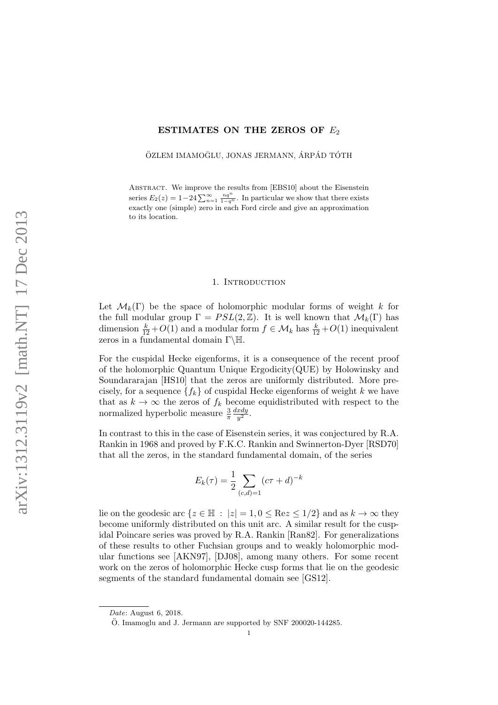# ESTIMATES ON THE ZEROS OF  $E_2$

ÖZLEM IMAMOĞLU, JONAS JERMANN, ÁRPÁD TÓTH

ABSTRACT. We improve the results from [EBS10] about the Eisenstein series  $E_2(z) = 1-24 \sum_{n=1}^{\infty} \frac{nq^n}{1-q^n}$ . In particular we show that there exists exactly one (simple) zero in each Ford circle and give an approximation to its location.

# 1. INTRODUCTION

Let  $\mathcal{M}_k(\Gamma)$  be the space of holomorphic modular forms of weight k for the full modular group  $\Gamma = PSL(2, \mathbb{Z})$ . It is well known that  $\mathcal{M}_k(\Gamma)$  has dimension  $\frac{k}{12} + O(1)$  and a modular form  $f \in \mathcal{M}_k$  has  $\frac{k}{12} + O(1)$  inequivalent zeros in a fundamental domain  $\Gamma\backslash\mathbb{H}.$ 

For the cuspidal Hecke eigenforms, it is a consequence of the recent proof of the holomorphic Quantum Unique Ergodicity(QUE) by Holowinsky and Soundararajan [HS10] that the zeros are uniformly distributed. More precisely, for a sequence  $\{f_k\}$  of cuspidal Hecke eigenforms of weight k we have that as  $k \to \infty$  the zeros of  $f_k$  become equidistributed with respect to the normalized hyperbolic measure  $\frac{3}{\pi}$ dxdy  $\frac{xay}{y^2}.$ 

In contrast to this in the case of Eisenstein series, it was conjectured by R.A. Rankin in 1968 and proved by F.K.C. Rankin and Swinnerton-Dyer [RSD70] that all the zeros, in the standard fundamental domain, of the series

$$
E_k(\tau) = \frac{1}{2} \sum_{(c,d)=1} (c\tau + d)^{-k}
$$

lie on the geodesic arc  $\{z \in \mathbb{H} : |z| = 1, 0 \le \text{Re} z \le 1/2\}$  and as  $k \to \infty$  they become uniformly distributed on this unit arc. A similar result for the cuspidal Poincare series was proved by R.A. Rankin [Ran82]. For generalizations of these results to other Fuchsian groups and to weakly holomorphic modular functions see [AKN97], [DJ08], among many others. For some recent work on the zeros of holomorphic Hecke cusp forms that lie on the geodesic segments of the standard fundamental domain see [GS12].

Date: August 6, 2018.

 $\ddot{\text{O}}$ . Imamoglu and J. Jermann are supported by SNF 200020-144285.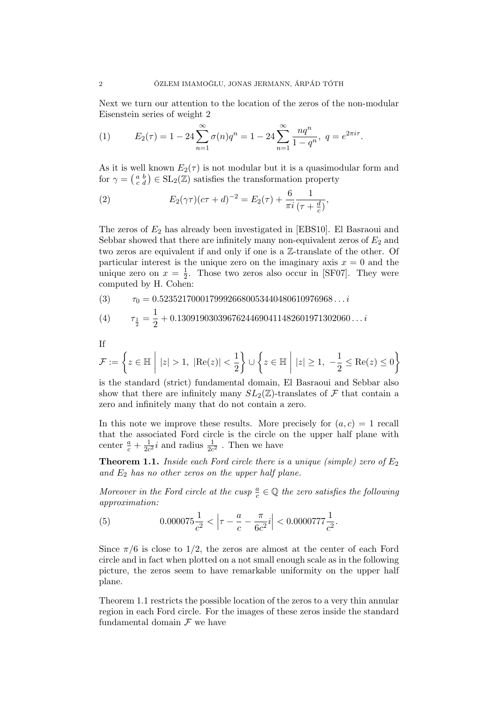Next we turn our attention to the location of the zeros of the non-modular Eisenstein series of weight 2

(1) 
$$
E_2(\tau) = 1 - 24 \sum_{n=1}^{\infty} \sigma(n) q^n = 1 - 24 \sum_{n=1}^{\infty} \frac{n q^n}{1 - q^n}, \ q = e^{2\pi i \tau}.
$$

As it is well known  $E_2(\tau)$  is not modular but it is a quasimodular form and for  $\gamma = \begin{pmatrix} a & b \\ c & d \end{pmatrix} \in SL_2(\mathbb{Z})$  satisfies the transformation property

(2) 
$$
E_2(\gamma \tau)(c\tau + d)^{-2} = E_2(\tau) + \frac{6}{\pi i} \frac{1}{(\tau + \frac{d}{c})},
$$

The zeros of  $E_2$  has already been investigated in [EBS10]. El Basraoui and Sebbar showed that there are infinitely many non-equivalent zeros of  $E_2$  and two zeros are equivalent if and only if one is a Z-translate of the other. Of particular interest is the unique zero on the imaginary axis  $x = 0$  and the unique zero on  $x = \frac{1}{2}$  $\frac{1}{2}$ . Those two zeros also occur in [SF07]. They were computed by H. Cohen:

$$
(3) \qquad \tau_0 = 0.52352170001799926680053440480610976968\dots i
$$

(4) 
$$
\tau_{\frac{1}{2}} = \frac{1}{2} + 0.13091903039676244690411482601971302060\dots i
$$

If

$$
\mathcal{F}:=\left\{z\in\mathbb{H}~\bigg|~|z|>1,~|\text{Re}(z)|<\frac{1}{2}\right\}\cup\left\{z\in\mathbb{H}~\bigg|~|z|\geq1,~-\frac{1}{2}\leq\text{Re}(z)\leq0\right\}
$$

is the standard (strict) fundamental domain, El Basraoui and Sebbar also show that there are infinitely many  $SL_2(\mathbb{Z})$ -translates of  $\mathcal F$  that contain a zero and infinitely many that do not contain a zero.

In this note we improve these results. More precisely for  $(a, c) = 1$  recall that the associated Ford circle is the circle on the upper half plane with center  $\frac{a}{c} + \frac{1}{2c}$  $\frac{1}{2c^2}i$  and radius  $\frac{1}{2c^2}$ . Then we have

**Theorem 1.1.** Inside each Ford circle there is a unique (simple) zero of  $E_2$ and  $E_2$  has no other zeros on the upper half plane.

Moreover in the Ford circle at the cusp  $\frac{a}{c} \in \mathbb{Q}$  the zero satisfies the following approximation:

(5) 
$$
0.000075 \frac{1}{c^2} < \left| \tau - \frac{a}{c} - \frac{\pi}{6c^2} i \right| < 0.0000777 \frac{1}{c^2}.
$$

Since  $\pi/6$  is close to 1/2, the zeros are almost at the center of each Ford circle and in fact when plotted on a not small enough scale as in the following picture, the zeros seem to have remarkable uniformity on the upper half plane.

Theorem 1.1 restricts the possible location of the zeros to a very thin annular region in each Ford circle. For the images of these zeros inside the standard fundamental domain  $\mathcal F$  we have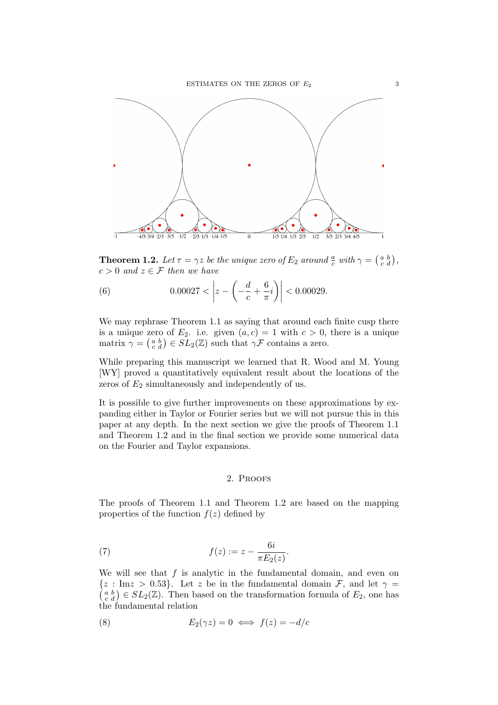

**Theorem 1.2.** Let  $\tau = \gamma z$  be the unique zero of  $E_2$  around  $\frac{a}{c}$  with  $\gamma = \begin{pmatrix} a & b \\ c & d \end{pmatrix}$ ,  $c > 0$  and  $z \in \mathcal{F}$  then we have

(6) 
$$
0.00027 < \left| z - \left( -\frac{d}{c} + \frac{6}{\pi}i \right) \right| < 0.00029.
$$

We may rephrase Theorem 1.1 as saying that around each finite cusp there is a unique zero of  $E_2$ . i.e. given  $(a, c) = 1$  with  $c > 0$ , there is a unique matrix  $\gamma = \begin{pmatrix} a & b \\ c & d \end{pmatrix} \in SL_2(\mathbb{Z})$  such that  $\gamma \mathcal{F}$  contains a zero.

While preparing this manuscript we learned that R. Wood and M. Young [WY] proved a quantitatively equivalent result about the locations of the zeros of  $E_2$  simultaneously and independently of us.

It is possible to give further improvements on these approximations by expanding either in Taylor or Fourier series but we will not pursue this in this paper at any depth. In the next section we give the proofs of Theorem 1.1 and Theorem 1.2 and in the final section we provide some numerical data on the Fourier and Taylor expansions.

## 2. Proofs

The proofs of Theorem 1.1 and Theorem 1.2 are based on the mapping properties of the function  $f(z)$  defined by

(7) 
$$
f(z) := z - \frac{6i}{\pi E_2(z)}
$$
.

We will see that  $f$  is analytic in the fundamental domain, and even on  $(a<sub>c</sub><sup>b</sup>) \in SL_2(\mathbb{Z})$ . Then based on the transformation formula of  $E_2$ , one has  $\{z : \text{Im} z > 0.53\}$ . Let z be in the fundamental domain F, and let  $\gamma =$ the fundamental relation

(8) 
$$
E_2(\gamma z) = 0 \iff f(z) = -d/c
$$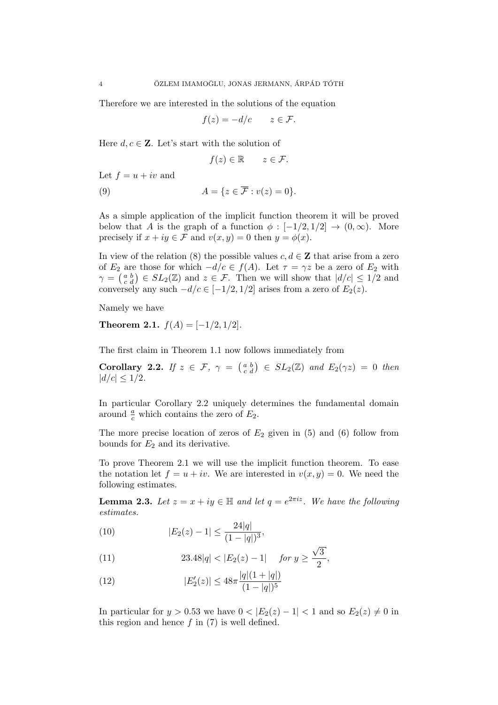Therefore we are interested in the solutions of the equation

$$
f(z) = -d/c \qquad z \in \mathcal{F}.
$$

Here  $d, c \in \mathbb{Z}$ . Let's start with the solution of

$$
f(z) \in \mathbb{R} \qquad z \in \mathcal{F}.
$$

Let  $f = u + iv$  and

(9) 
$$
A = \{ z \in \overline{\mathcal{F}} : v(z) = 0 \}.
$$

As a simple application of the implicit function theorem it will be proved below that A is the graph of a function  $\phi : [-1/2, 1/2] \rightarrow (0, \infty)$ . More precisely if  $x + iy \in \mathcal{F}$  and  $v(x, y) = 0$  then  $y = \phi(x)$ .

In view of the relation (8) the possible values  $c, d \in \mathbb{Z}$  that arise from a zero of  $E_2$  are those for which  $-d/c \in f(A)$ . Let  $\tau = \gamma z$  be a zero of  $E_2$  with  $\gamma = \begin{pmatrix} a & b \\ c & d \end{pmatrix} \in SL_2(\mathbb{Z})$  and  $z \in \mathcal{F}$ . Then we will show that  $|d/c| \leq 1/2$  and conversely any such  $-d/c \in [-1/2, 1/2]$  arises from a zero of  $E_2(z)$ .

Namely we have

Theorem 2.1.  $f(A) = [-1/2, 1/2]$ .

The first claim in Theorem 1.1 now follows immediately from

**Corollary 2.2.** If  $z \in \mathcal{F}$ ,  $\gamma = \begin{pmatrix} a & b \\ c & d \end{pmatrix} \in SL_2(\mathbb{Z})$  and  $E_2(\gamma z) = 0$  then  $|d/c| \leq 1/2$ .

In particular Corollary 2.2 uniquely determines the fundamental domain around  $\frac{a}{c}$  which contains the zero of  $E_2$ .

The more precise location of zeros of  $E_2$  given in (5) and (6) follow from bounds for  $E_2$  and its derivative.

To prove Theorem 2.1 we will use the implicit function theorem. To ease the notation let  $f = u + iv$ . We are interested in  $v(x, y) = 0$ . We need the following estimates.

**Lemma 2.3.** Let  $z = x + iy \in \mathbb{H}$  and let  $q = e^{2\pi i z}$ . We have the following estimates.

(10) 
$$
|E_2(z) - 1| \le \frac{24|q|}{(1 - |q|)^3},
$$

(11) 
$$
23.48|q| < |E_2(z) - 1| \quad \text{for } y \ge \frac{\sqrt{3}}{2},
$$

(12) 
$$
|E_2'(z)| \le 48\pi \frac{|q|(1+|q|)}{(1-|q|)^5}
$$

In particular for  $y > 0.53$  we have  $0 < |E_2(z) - 1| < 1$  and so  $E_2(z) \neq 0$  in this region and hence  $f$  in  $(7)$  is well defined.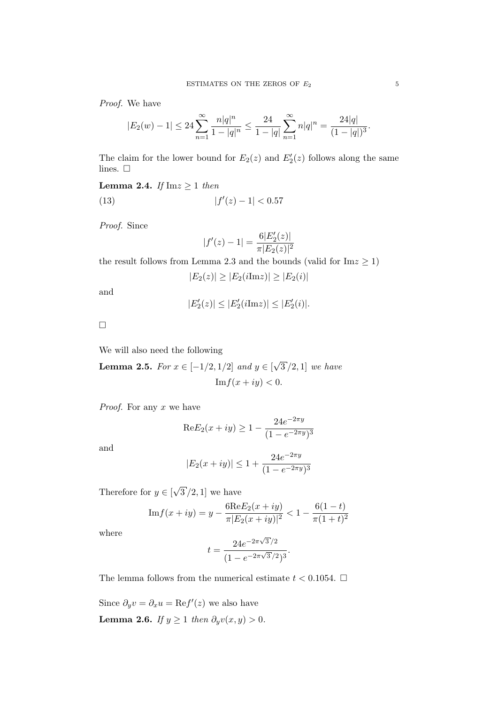Proof. We have

$$
|E_2(w) - 1| \le 24 \sum_{n=1}^{\infty} \frac{n|q|^n}{1 - |q|^n} \le \frac{24}{1 - |q|} \sum_{n=1}^{\infty} n|q|^n = \frac{24|q|}{(1 - |q|)^3}.
$$

The claim for the lower bound for  $E_2(z)$  and  $E_2'(z)$  follows along the same lines.  $\square$ 

Lemma 2.4. If  $Im z \ge 1$  then

(13) 
$$
|f'(z) - 1| < 0.57
$$

Proof. Since

$$
|f'(z) - 1| = \frac{6|E_2'(z)|}{\pi |E_2(z)|^2}
$$

the result follows from Lemma 2.3 and the bounds (valid for  $\text{Im} z \ge 1$ )

 $|E_2(z)| \geq |E_2(i \text{Im} z)| \geq |E_2(i)|$ 

and

$$
|E_2'(z)| \le |E_2'(i \text{Im} z)| \le |E_2'(i)|.
$$

 $\Box$ 

We will also need the following

**Lemma 2.5.** For  $x \in [-1/2, 1/2]$  and  $y \in [$ √  $3/2, 1$ ] we have  $\text{Im } f(x+iy) < 0.$ 

*Proof.* For any  $x$  we have

$$
ReE_2(x+iy) \ge 1 - \frac{24e^{-2\pi y}}{(1 - e^{-2\pi y})^3}
$$

and

$$
|E_2(x+iy)| \le 1 + \frac{24e^{-2\pi y}}{(1 - e^{-2\pi y})^3}
$$

Therefore for  $y \in [$ √  $3/2,1$  we have

$$
Im f(x+iy) = y - \frac{6 \text{Re} E_2(x+iy)}{\pi |E_2(x+iy)|^2} < 1 - \frac{6(1-t)}{\pi (1+t)^2}
$$

where

$$
t = \frac{24e^{-2\pi\sqrt{3}/2}}{(1 - e^{-2\pi\sqrt{3}/2})^3}.
$$

The lemma follows from the numerical estimate  $t < 0.1054$ .  $\Box$ 

Since  $\partial_y v = \partial_x u = \text{Re} f'(z)$  we also have Lemma 2.6. If  $y \ge 1$  then  $\partial_y v(x, y) > 0$ .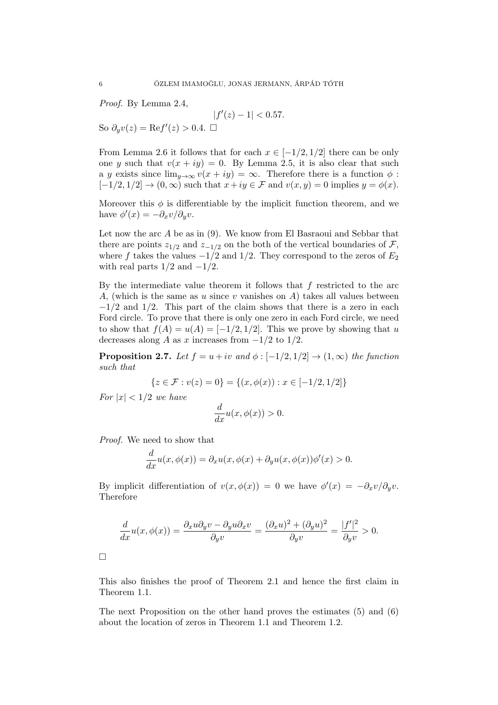Proof. By Lemma 2.4,

 $|f'(z) - 1| < 0.57$ . So  $\partial_y v(z) = \text{Re} f'(z) > 0.4. \ \Box$ 

From Lemma 2.6 it follows that for each  $x \in [-1/2, 1/2]$  there can be only one y such that  $v(x + iy) = 0$ . By Lemma 2.5, it is also clear that such a y exists since  $\lim_{y\to\infty} v(x+iy) = \infty$ . Therefore there is a function  $\phi$ :  $[-1/2, 1/2] \rightarrow (0, \infty)$  such that  $x + iy \in \mathcal{F}$  and  $v(x, y) = 0$  implies  $y = \phi(x)$ .

Moreover this  $\phi$  is differentiable by the implicit function theorem, and we have  $\phi'(x) = -\partial_x v / \partial_y v$ .

Let now the arc  $A$  be as in  $(9)$ . We know from El Basraoui and Sebbar that there are points  $z_{1/2}$  and  $z_{-1/2}$  on the both of the vertical boundaries of F, where f takes the values  $-1/2$  and  $1/2$ . They correspond to the zeros of  $E_2$ with real parts  $1/2$  and  $-1/2$ .

By the intermediate value theorem it follows that  $f$  restricted to the arc A, (which is the same as u since v vanishes on  $A$ ) takes all values between  $-1/2$  and  $1/2$ . This part of the claim shows that there is a zero in each Ford circle. To prove that there is only one zero in each Ford circle, we need to show that  $f(A) = u(A) = [-1/2, 1/2]$ . This we prove by showing that u decreases along A as x increases from  $-1/2$  to  $1/2$ .

**Proposition 2.7.** Let  $f = u + iv$  and  $\phi : [-1/2, 1/2] \rightarrow (1, \infty)$  the function such that

$$
\{z \in \mathcal{F} : v(z) = 0\} = \{(x, \phi(x)) : x \in [-1/2, 1/2]\}
$$

For  $|x| < 1/2$  we have

$$
\frac{d}{dx}u(x,\phi(x)) > 0.
$$

Proof. We need to show that

$$
\frac{d}{dx}u(x,\phi(x)) = \partial_x u(x,\phi(x) + \partial_y u(x,\phi(x))\phi'(x) > 0.
$$

By implicit differentiation of  $v(x, \phi(x)) = 0$  we have  $\phi'(x) = -\partial_x v/\partial_y v$ . Therefore

$$
\frac{d}{dx}u(x,\phi(x)) = \frac{\partial_x u \partial_y v - \partial_y u \partial_x v}{\partial_y v} = \frac{(\partial_x u)^2 + (\partial_y u)^2}{\partial_y v} = \frac{|f'|^2}{\partial_y v} > 0.
$$

 $\Box$ 

This also finishes the proof of Theorem 2.1 and hence the first claim in Theorem 1.1.

The next Proposition on the other hand proves the estimates (5) and (6) about the location of zeros in Theorem 1.1 and Theorem 1.2.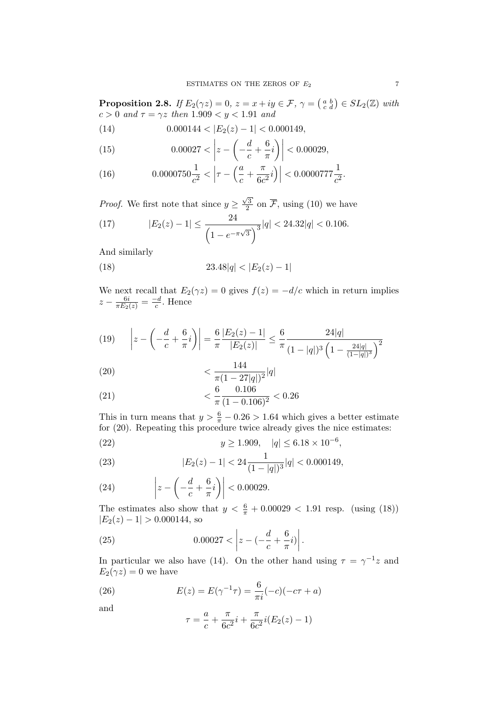**Proposition 2.8.** If  $E_2(\gamma z) = 0$ ,  $z = x + iy \in \mathcal{F}$ ,  $\gamma = \begin{pmatrix} a & b \\ c & d \end{pmatrix} \in SL_2(\mathbb{Z})$  with  $c > 0$  and  $\tau = \gamma z$  then  $1.909 < y < 1.91$  and

(14) 
$$
0.000144 < |E_2(z) - 1| < 0.000149,
$$

(15) 
$$
0.00027 < \left| z - \left( -\frac{d}{c} + \frac{6}{\pi} i \right) \right| < 0.00029,
$$

(16) 
$$
0.0000750 \frac{1}{c^2} < \left| \tau - \left( \frac{a}{c} + \frac{\pi}{6c^2} i \right) \right| < 0.0000777 \frac{1}{c^2}.
$$

*Proof.* We first note that since  $y \geq$  $\sqrt{3}$  $\frac{\sqrt{3}}{2}$  on F, using (10) we have

(17) 
$$
|E_2(z) - 1| \le \frac{24}{\left(1 - e^{-\pi\sqrt{3}}\right)^3} |q| < 24.32|q| < 0.106.
$$

And similarly

(18) 
$$
23.48|q| < |E_2(z) - 1|
$$

We next recall that  $E_2(\gamma z) = 0$  gives  $f(z) = -d/c$  which in return implies  $z-\frac{6i}{\pi E_2(z)}=\frac{-d}{c}$  $\frac{-d}{c}$ . Hence

(19) 
$$
\left| z - \left( -\frac{d}{c} + \frac{6}{\pi}i \right) \right| = \frac{6}{\pi} \frac{|E_2(z) - 1|}{|E_2(z)|} \le \frac{6}{\pi} \frac{24|q|}{(1 - |q|)^3 \left( 1 - \frac{24|q|}{(1 - |q|)^3} \right)^2}
$$

(20) 
$$
\frac{144}{\pi (1 - 27|q|)^2} |q|
$$

(21) 
$$
\frac{6}{\pi} \frac{0.106}{(1 - 0.106)^2} < 0.26
$$

This in turn means that  $y > \frac{6}{\pi} - 0.26 > 1.64$  which gives a better estimate for (20). Repeating this procedure twice already gives the nice estimates:

(22) 
$$
y \ge 1.909, |q| \le 6.18 \times 10^{-6},
$$

(23) 
$$
|E_2(z) - 1| < 24 \frac{1}{(1 - |q|)^3} |q| < 0.000149,
$$

(24) 
$$
\left|z-\left(-\frac{d}{c}+\frac{6}{\pi}i\right)\right|<0.00029.
$$

The estimates also show that  $y < \frac{6}{\pi} + 0.00029 < 1.91$  resp. (using (18))  $|E_2(z) - 1| > 0.000144$ , so

(25) 
$$
0.00027 < \left| z - \left( -\frac{d}{c} + \frac{6}{\pi}i \right) \right|.
$$

In particular we also have (14). On the other hand using  $\tau = \gamma^{-1} z$  and  $E_2(\gamma z) = 0$  we have

(26) 
$$
E(z) = E(\gamma^{-1}\tau) = \frac{6}{\pi i}(-c)(-c\tau + a)
$$

and

$$
\tau = \frac{a}{c} + \frac{\pi}{6c^2}i + \frac{\pi}{6c^2}i(E_2(z) - 1)
$$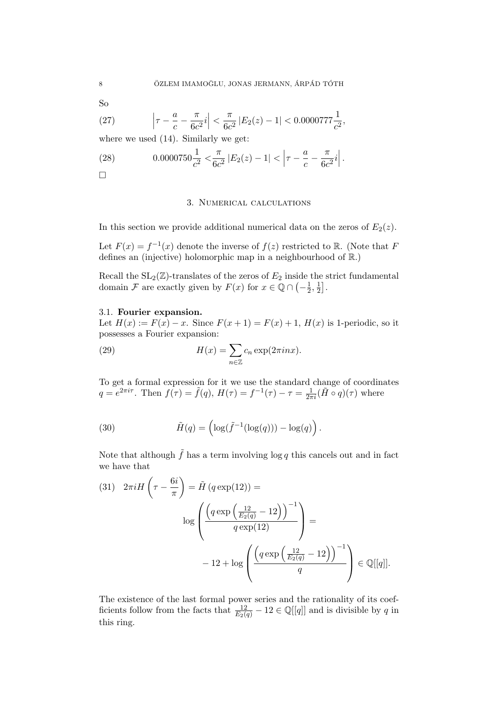So

(27) 
$$
\left|\tau - \frac{a}{c} - \frac{\pi}{6c^2}i\right| < \frac{\pi}{6c^2} |E_2(z) - 1| < 0.0000777 \frac{1}{c^2},
$$

where we used  $(14)$ . Similarly we get:

(28) 
$$
0.0000750 \frac{1}{c^2} < \frac{\pi}{6c^2} |E_2(z) - 1| < \left|\tau - \frac{a}{c} - \frac{\pi}{6c^2}i\right|.
$$

 $\Box$ 

## 3. Numerical calculations

In this section we provide additional numerical data on the zeros of  $E_2(z)$ .

Let  $F(x) = f^{-1}(x)$  denote the inverse of  $f(z)$  restricted to R. (Note that F defines an (injective) holomorphic map in a neighbourhood of R.)

Recall the  $SL_2(\mathbb{Z})$ -translates of the zeros of  $E_2$  inside the strict fundamental domain F are exactly given by  $F(x)$  for  $x \in \mathbb{Q} \cap \left(-\frac{1}{2}\right)$  $\frac{1}{2}, \frac{1}{2}$  $\frac{1}{2}$ .

### 3.1. Fourier expansion.

Let  $H(x) := F(x) - x$ . Since  $F(x+1) = F(x) + 1$ ,  $H(x)$  is 1-periodic, so it possesses a Fourier expansion:

(29) 
$$
H(x) = \sum_{n \in \mathbb{Z}} c_n \exp(2\pi i n x).
$$

To get a formal expression for it we use the standard change of coordinates  $q = e^{2\pi i \tau}$ . Then  $f(\tau) = \tilde{f}(q)$ ,  $H(\tau) = f^{-1}(\tau) - \tau = \frac{1}{2\pi i} (\tilde{H} \circ q)(\tau)$  where

(30) 
$$
\tilde{H}(q) = \left(\log(\tilde{f}^{-1}(\log(q))) - \log(q)\right).
$$

Note that although  $\tilde{f}$  has a term involving log q this cancels out and in fact we have that

$$
(31) \quad 2\pi i H\left(\tau - \frac{6i}{\pi}\right) = \tilde{H}\left(q \exp(12)\right) =
$$
\n
$$
\log \left(\frac{\left(q \exp\left(\frac{12}{E_2(q)} - 12\right)\right)^{-1}}{q \exp(12)}\right) =
$$
\n
$$
-12 + \log \left(\frac{\left(q \exp\left(\frac{12}{E_2(q)} - 12\right)\right)^{-1}}{q}\right) \in \mathbb{Q}[[q]].
$$

The existence of the last formal power series and the rationality of its coefficients follow from the facts that  $\frac{12}{E_2(q)} - 12 \in \mathbb{Q}[[q]]$  and is divisible by q in this ring.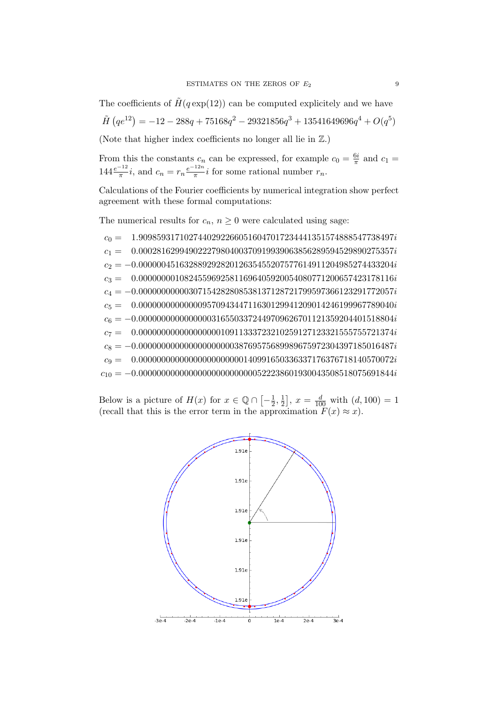The coefficients of  $\tilde{H}(q \exp(12))$  can be computed explicitely and we have

$$
\tilde{H}(qe^{12}) = -12 - 288q + 75168q^{2} - 29321856q^{3} + 13541649696q^{4} + O(q^{5})
$$

(Note that higher index coefficients no longer all lie in  $\mathbb{Z}$ .)

From this the constants  $c_n$  can be expressed, for example  $c_0 = \frac{6i}{\pi}$  $\frac{6i}{\pi}$  and  $c_1 =$  $144 \frac{e^{-12}}{\pi} i$ , and  $c_n = r_n \frac{e^{-12n}}{\pi}$  $\frac{r_{2n}}{\pi}$ *i* for some rational number  $r_n$ .

Calculations of the Fourier coefficients by numerical integration show perfect agreement with these formal computations:

The numerical results for  $c_n$ ,  $n \geq 0$  were calculated using sage:

 $c_0 = 1.90985931710274402922660516047017234441351574888547738497i$  $c_1 = 0.00028162994902227980400370919939063856289594529890275357i$  $c_2 = -0.00000045163288929282012635455207577614911204985274433204i$  $c_3 = 0.00000000108245596925811696405920054080771200657423178116i$  $c_4 = -0.00000000000307154282808538137128721799597366123291772057i$  $c_5 = \phantom{+} 0.0000000000000957094344711630129941209014246199967789040i$  $c_6 = -0.00000000000000003165503372449709626701121359204401518804i \label{eq:cs6}$  $c_7 = 0.000000000000000000010911333723210259127123321555755721374i$  $c_8 = -0.00000000000000000000038769575689989675972304397185016487i$  $c_9 = \phantom{-} 0.00000000000000000000000140991650336337176376718140570072i$  $c_{10} = -0.00000000000000000000000000522238601930043508518075691844i$ 

Below is a picture of  $H(x)$  for  $x \in \mathbb{Q} \cap \left[-\frac{1}{2}\right]$  $\frac{1}{2}, \frac{1}{2}$  $\left[\frac{1}{2}\right]$ ,  $x = \frac{d}{100}$  with  $(d, 100) = 1$ (recall that this is the error term in the approximation  $F(x) \approx x$ ).

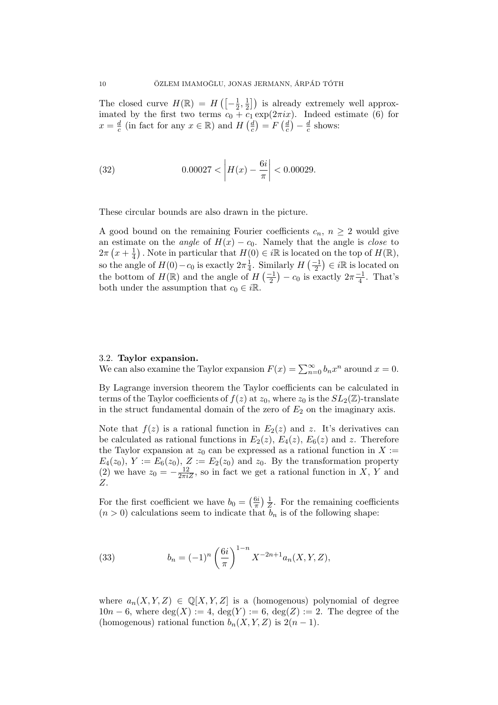The closed curve  $H(\mathbb{R}) = H\left(-\frac{1}{2}\right)$  $\frac{1}{2}, \frac{1}{2}$  $\left(\frac{1}{2}\right)$  is already extremely well approximated by the first two terms  $c_0 + c_1 \exp(2\pi i x)$ . Indeed estimate (6) for  $x=\frac{d}{c}$  $\frac{d}{c}$  (in fact for any  $x \in \mathbb{R}$ ) and  $H\left(\frac{d}{c}\right)$  $\left(\frac{d}{c}\right)=F\left(\frac{d}{c}\right)$  $(\frac{d}{c}) - \frac{d}{c}$  $\frac{d}{c}$  shows:

(32) 
$$
0.00027 < \left| H(x) - \frac{6i}{\pi} \right| < 0.00029.
$$

These circular bounds are also drawn in the picture.

A good bound on the remaining Fourier coefficients  $c_n$ ,  $n \geq 2$  would give an estimate on the *angle* of  $H(x) - c_0$ . Namely that the angle is *close* to  $2\pi\left(x+\frac{1}{4}\right)$  $\frac{1}{4}$ . Note in particular that  $H(0) \in i\mathbb{R}$  is located on the top of  $H(\mathbb{R})$ , so the angle of  $H(0) - c_0$  is exactly  $2\pi \frac{1}{4}$  $\frac{1}{4}$ . Similarly  $H\left(\frac{-1}{2}\right) \in i\mathbb{R}$  is located on the bottom of  $H(\mathbb{R})$  and the angle of  $H\left(\frac{-1}{2}\right) - c_0$  is exactly  $2\pi \frac{-1}{4}$  $\frac{-1}{4}$ . That's both under the assumption that  $c_0 \in i\mathbb{R}$ .

## 3.2. Taylor expansion.

We can also examine the Taylor expansion  $F(x) = \sum_{n=0}^{\infty} b_n x^n$  around  $x = 0$ .

By Lagrange inversion theorem the Taylor coefficients can be calculated in terms of the Taylor coefficients of  $f(z)$  at  $z_0$ , where  $z_0$  is the  $SL_2(\mathbb{Z})$ -translate in the struct fundamental domain of the zero of  $E_2$  on the imaginary axis.

Note that  $f(z)$  is a rational function in  $E_2(z)$  and z. It's derivatives can be calculated as rational functions in  $E_2(z)$ ,  $E_4(z)$ ,  $E_6(z)$  and z. Therefore the Taylor expansion at  $z_0$  can be expressed as a rational function in  $X :=$  $E_4(z_0), Y := E_6(z_0), Z := E_2(z_0)$  and  $z_0$ . By the transformation property (2) we have  $z_0 = -\frac{12}{2\pi iZ}$ , so in fact we get a rational function in X, Y and Z.

For the first coefficient we have  $b_0 = \left(\frac{6i}{\pi}\right)$  $\frac{6i}{\pi}$ )  $\frac{1}{Z}$  $\frac{1}{Z}$ . For the remaining coefficients  $(n > 0)$  calculations seem to indicate that  $b_n$  is of the following shape:

(33) 
$$
b_n = (-1)^n \left(\frac{6i}{\pi}\right)^{1-n} X^{-2n+1} a_n(X, Y, Z),
$$

where  $a_n(X, Y, Z) \in \mathbb{Q}[X, Y, Z]$  is a (homogenous) polynomial of degree  $10n-6$ , where  $deg(X) := 4$ ,  $deg(Y) := 6$ ,  $deg(Z) := 2$ . The degree of the (homogenous) rational function  $b_n(X, Y, Z)$  is  $2(n-1)$ .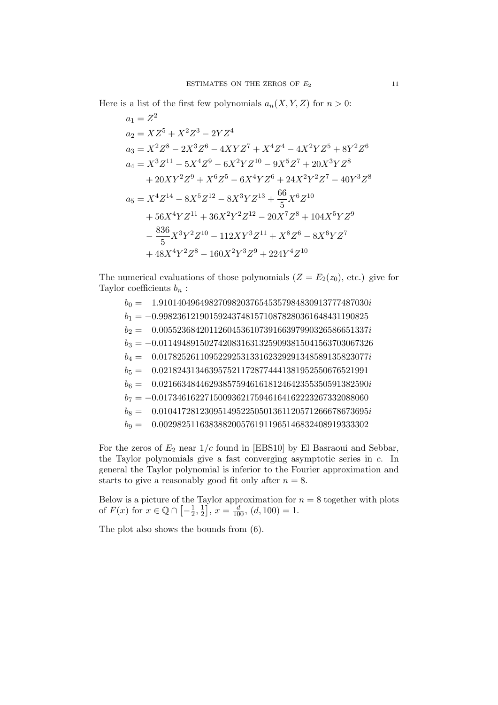Here is a list of the first few polynomials  $a_n(X, Y, Z)$  for  $n > 0$ :

$$
a_1 = Z^2
$$
  
\n
$$
a_2 = XZ^5 + X^2Z^3 - 2YZ^4
$$
  
\n
$$
a_3 = X^2Z^8 - 2X^3Z^6 - 4XYZ^7 + X^4Z^4 - 4X^2YZ^5 + 8Y^2Z^6
$$
  
\n
$$
a_4 = X^3Z^{11} - 5X^4Z^9 - 6X^2YZ^{10} - 9X^5Z^7 + 20X^3YZ^8
$$
  
\n
$$
+ 20XY^2Z^9 + X^6Z^5 - 6X^4YZ^6 + 24X^2Y^2Z^7 - 40Y^3Z^8
$$
  
\n
$$
a_5 = X^4Z^{14} - 8X^5Z^{12} - 8X^3YZ^{13} + \frac{66}{5}X^6Z^{10}
$$
  
\n
$$
+ 56X^4YZ^{11} + 36X^2Y^2Z^{12} - 20X^7Z^8 + 104X^5YZ^9
$$
  
\n
$$
- \frac{836}{5}X^3Y^2Z^{10} - 112XY^3Z^{11} + X^8Z^6 - 8X^6YZ^7
$$
  
\n
$$
+ 48X^4Y^2Z^8 - 160X^2Y^3Z^9 + 224Y^4Z^{10}
$$

The numerical evaluations of those polynomials  $(Z = E_2(z_0), \text{ etc.})$  give for Taylor coefficients  $b_n$ :

 $b_0 = 1.9101404964982709820376545357984830913777487030i$  $b_1 = -0.9982361219015924374815710878280361648431190825$  $b_2 = 0.0055236842011260453610739166397990326586651337i$  $b_3 = -0.01149489150274208316313259093815041563703067326$  $b_4 = \phantom{+} 0.0178252611095229253133162329291348589135823077i$  $b_5 = 0.0218243134639575211728774441381952550676521991$  $b_6 = 0.0216634844629385759461618124642355350591382590i$  $b_7 = -0.0173461622715009362175946164162223267332088060$  $b_8 = 0.0104172812309514952250501361120571266678673695i$  $b_9 = 0.0029825116383882005761911965146832408919333302$ 

For the zeros of  $E_2$  near  $1/c$  found in [EBS10] by El Basraoui and Sebbar, the Taylor polynomials give a fast converging asymptotic series in c. In general the Taylor polynomial is inferior to the Fourier approximation and starts to give a reasonably good fit only after  $n = 8$ .

Below is a picture of the Taylor approximation for  $n = 8$  together with plots of  $F(x)$  for  $x \in \mathbb{Q} \cap \left[-\frac{1}{2}\right]$  $\frac{1}{2}, \frac{1}{2}$  $\left[\frac{1}{2}\right]$ ,  $x = \frac{d}{100}$ ,  $(d, 100) = 1$ .

The plot also shows the bounds from (6).